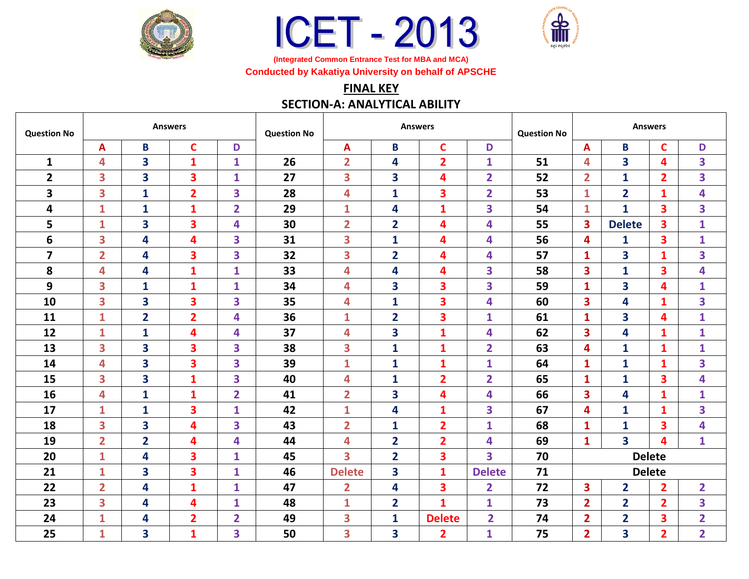





**(Integrated Common Entrance Test for MBA and MCA) Conducted by Kakatiya University on behalf of APSCHE**

## **FINAL KEY**

## **SECTION-A: ANALYTICAL ABILITY**

| <b>Question No</b> | <b>Answers</b>          |                         |                         |                         | <b>Question No</b> | <b>Answers</b>          |                         |                         |                         | <b>Question No</b> | <b>Answers</b> |                         |                |                |
|--------------------|-------------------------|-------------------------|-------------------------|-------------------------|--------------------|-------------------------|-------------------------|-------------------------|-------------------------|--------------------|----------------|-------------------------|----------------|----------------|
|                    | A                       | B                       | $\mathbf C$             | D                       |                    | $\mathbf{A}$            | B                       | $\mathbf C$             | D                       |                    | A              | B                       | $\mathbf C$    | D              |
| $\mathbf{1}$       | 4                       | $\overline{\mathbf{3}}$ | $\mathbf{1}$            | $\mathbf{1}$            | 26                 | $\overline{2}$          | 4                       | $\overline{2}$          | 1                       | 51                 | 4              | 3                       | 4              | 3              |
| $\overline{2}$     | 3                       | $\overline{\mathbf{3}}$ | $\overline{\mathbf{3}}$ | $\mathbf{1}$            | 27                 | 3                       | 3                       | $\overline{\mathbf{4}}$ | $\overline{2}$          | 52                 | $\overline{2}$ | $\mathbf{1}$            | $\overline{2}$ | 3              |
| 3                  | 3                       | $\mathbf{1}$            | $\overline{2}$          | 3                       | 28                 | 4                       | 1                       | 3                       | $\overline{\mathbf{2}}$ | 53                 | $\mathbf{1}$   | $\overline{2}$          | $\mathbf{1}$   | 4              |
| 4                  | $\mathbf{1}$            | $\mathbf{1}$            | $\mathbf{1}$            | $\overline{2}$          | 29                 | $\mathbf{1}$            | 4                       | $\mathbf{1}$            | 3                       | 54                 | $\mathbf{1}$   | $\mathbf{1}$            | 3              | 3              |
| 5                  | $\mathbf{1}$            | $\overline{\mathbf{3}}$ | 3                       | 4                       | 30                 | $\overline{2}$          | $\overline{\mathbf{2}}$ | 4                       | 4                       | 55                 | 3              | <b>Delete</b>           | 3              | $\mathbf{1}$   |
| 6                  | $\overline{\mathbf{3}}$ | 4                       | 4                       | 3                       | 31                 | 3                       | $\mathbf{1}$            | 4                       | 4                       | 56                 | 4              | 1                       | 3              | $\mathbf{1}$   |
| $\overline{7}$     | $\overline{2}$          | 4                       | $\overline{\mathbf{3}}$ | 3                       | 32                 | 3                       | $\overline{2}$          | 4                       | 4                       | 57                 | 1              | 3                       | 1              | 3              |
| 8                  | 4                       | $\overline{\mathbf{4}}$ | $\mathbf{1}$            | $\mathbf{1}$            | 33                 | 4                       | 4                       | 4                       | 3                       | 58                 | 3              | $\mathbf{1}$            | 3              | 4              |
| 9                  | 3                       | $\mathbf{1}$            | $\mathbf{1}$            | $\mathbf{1}$            | 34                 | 4                       | 3                       | 3                       | 3                       | 59                 | $\mathbf{1}$   | 3                       | 4              | $\mathbf{1}$   |
| 10                 | 3                       | 3                       | 3                       | 3                       | 35                 | 4                       | $\mathbf{1}$            | 3                       | 4                       | 60                 | 3              | 4                       | $\mathbf{1}$   | 3              |
| 11                 | $\mathbf{1}$            | $\overline{2}$          | $\overline{2}$          | $\overline{\mathbf{4}}$ | 36                 | $\mathbf{1}$            | $\overline{\mathbf{2}}$ | 3                       | $\mathbf{1}$            | 61                 | 1              | 3                       | 4              | $\mathbf{1}$   |
| 12                 | $\mathbf{1}$            | $\mathbf{1}$            | 4                       | 4                       | 37                 | 4                       | 3                       | $\mathbf{1}$            | 4                       | 62                 | 3              | 4                       | $\mathbf{1}$   | $\mathbf{1}$   |
| 13                 | 3                       | 3                       | $\overline{\mathbf{3}}$ | 3                       | 38                 | 3                       | $\mathbf{1}$            | 1                       | $\overline{\mathbf{2}}$ | 63                 | 4              | $\mathbf{1}$            | $\mathbf{1}$   | $\mathbf{1}$   |
| 14                 | 4                       | $\overline{\mathbf{3}}$ | $\overline{\mathbf{3}}$ | 3                       | 39                 | $\mathbf{1}$            | 1                       | $\mathbf{1}$            | $\mathbf{1}$            | 64                 | 1              | $\mathbf{1}$            | 1              | 3              |
| 15                 | 3                       | $\overline{\mathbf{3}}$ | $\mathbf{1}$            | 3                       | 40                 | 4                       | $\mathbf{1}$            | $\overline{2}$          | $\overline{\mathbf{2}}$ | 65                 | $\mathbf{1}$   | $\mathbf{1}$            | 3              | 4              |
| 16                 | 4                       | $\mathbf{1}$            | $\mathbf{1}$            | $\overline{2}$          | 41                 | $\overline{2}$          | 3                       | 4                       | 4                       | 66                 | 3              | 4                       | $\mathbf{1}$   | $\mathbf{1}$   |
| 17                 | $\mathbf{1}$            | $\mathbf{1}$            | 3                       | $\mathbf{1}$            | 42                 | $\mathbf{1}$            | 4                       | 1                       | 3                       | 67                 | 4              | $\mathbf{1}$            | $\mathbf{1}$   | 3              |
| 18                 | 3                       | $\overline{\mathbf{3}}$ | 4                       | 3                       | 43                 | $\overline{2}$          | $\mathbf{1}$            | $\overline{2}$          | $\mathbf{1}$            | 68                 | $\mathbf{1}$   | $\mathbf{1}$            | 3              | 4              |
| 19                 | $\overline{\mathbf{2}}$ | $\overline{\mathbf{2}}$ | 4                       | 4                       | 44                 | 4                       | $\overline{\mathbf{2}}$ | $\overline{2}$          | 4                       | 69                 | $\mathbf{1}$   | $\overline{\mathbf{3}}$ | 4              | $\mathbf{1}$   |
| 20                 | $\mathbf{1}$            | 4                       | $\overline{\mathbf{3}}$ | $\mathbf{1}$            | 45                 | 3                       | $\overline{\mathbf{2}}$ | 3                       | 3                       | 70                 | <b>Delete</b>  |                         |                |                |
| 21                 | $\mathbf{1}$            | 3                       | $\overline{\mathbf{3}}$ | $\mathbf{1}$            | 46                 | <b>Delete</b>           | 3                       | $\mathbf{1}$            | <b>Delete</b>           | 71                 | <b>Delete</b>  |                         |                |                |
| 22                 | $\overline{\mathbf{2}}$ | 4                       | $\mathbf{1}$            | $\mathbf{1}$            | 47                 | $\overline{\mathbf{2}}$ | 4                       | 3                       | $\overline{2}$          | 72                 | 3              | $\overline{\mathbf{2}}$ | $\overline{2}$ | $\overline{2}$ |
| 23                 | 3                       | 4                       | 4                       | $\mathbf{1}$            | 48                 | $\mathbf{1}$            | $\overline{2}$          | 1                       | 1                       | 73                 | $\overline{2}$ | $\overline{2}$          | $\overline{2}$ | 3              |
| 24                 | 1                       | 4                       | $\overline{2}$          | $\overline{2}$          | 49                 | 3                       | $\mathbf{1}$            | <b>Delete</b>           | $\overline{2}$          | 74                 | $\overline{2}$ | $\overline{2}$          | 3              | $\overline{2}$ |
| 25                 | $\mathbf{1}$            | 3                       | $\mathbf{1}$            | 3                       | 50                 | 3                       | 3                       | $\overline{2}$          | $\mathbf{1}$            | 75                 | $\overline{2}$ | 3                       | $\overline{2}$ | $\overline{2}$ |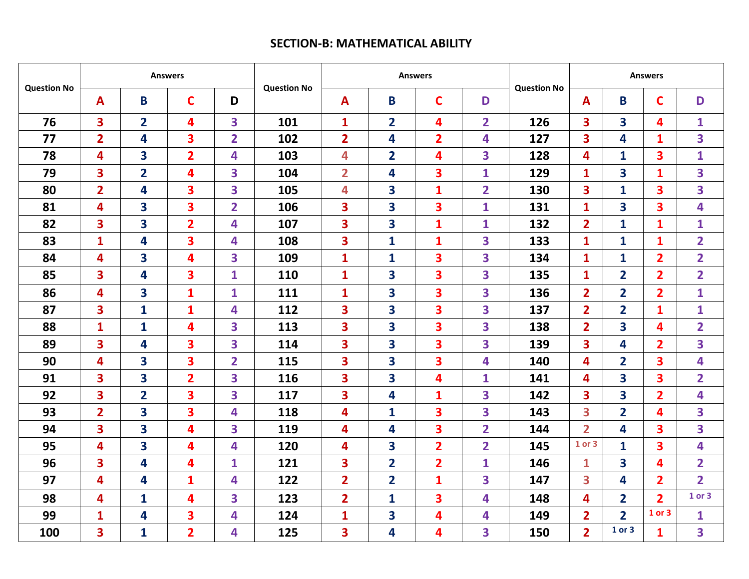## **SECTION-B: MATHEMATICAL ABILITY**

| <b>Question No</b> | <b>Answers</b>          |                         |                         |                         |                    | <b>Answers</b>          |                |                         |                         |                    | <b>Answers</b>          |                         |                         |                         |
|--------------------|-------------------------|-------------------------|-------------------------|-------------------------|--------------------|-------------------------|----------------|-------------------------|-------------------------|--------------------|-------------------------|-------------------------|-------------------------|-------------------------|
|                    | $\mathbf{A}$            | B                       | C                       | D                       | <b>Question No</b> | $\mathbf{A}$            | B              | $\mathbf C$             | D                       | <b>Question No</b> | A                       | B                       | $\mathbf C$             | D                       |
| 76                 | $\overline{\mathbf{3}}$ | $\overline{2}$          | 4                       | 3                       | 101                | $\mathbf{1}$            | $\overline{2}$ | 4                       | $\overline{2}$          | 126                | 3                       | $\overline{\mathbf{3}}$ | 4                       | $\mathbf{1}$            |
| 77                 | $\overline{2}$          | 4                       | 3                       | $\overline{2}$          | 102                | $\overline{2}$          | 4              | $\overline{2}$          | 4                       | 127                | 3                       | 4                       | $\mathbf{1}$            | 3                       |
| 78                 | 4                       | 3                       | $\overline{2}$          | 4                       | 103                | 4                       | $\overline{2}$ | 4                       | $\overline{\mathbf{3}}$ | 128                | 4                       | $\mathbf{1}$            | 3                       | $\mathbf{1}$            |
| 79                 | 3                       | $\overline{2}$          | 4                       | 3                       | 104                | $\overline{2}$          | 4              | $\overline{\mathbf{3}}$ | $\mathbf{1}$            | 129                | $\mathbf{1}$            | 3                       | $\mathbf{1}$            | 3                       |
| 80                 | $\overline{2}$          | 4                       | 3                       | $\overline{\mathbf{3}}$ | 105                | 4                       | 3              | $\mathbf{1}$            | $\overline{2}$          | 130                | 3                       | $\mathbf{1}$            | $\overline{\mathbf{3}}$ | 3                       |
| 81                 | 4                       | 3                       | 3                       | $\overline{2}$          | 106                | 3                       | 3              | 3                       | $\mathbf{1}$            | 131                | $\mathbf{1}$            | 3                       | 3                       | 4                       |
| 82                 | 3                       | 3                       | $\overline{2}$          | 4                       | 107                | $\overline{\mathbf{3}}$ | 3              | $\mathbf{1}$            | $\mathbf{1}$            | 132                | $\overline{2}$          | $\mathbf{1}$            | $\mathbf{1}$            | $\mathbf{1}$            |
| 83                 | $\mathbf{1}$            | 4                       | 3                       | 4                       | 108                | $\overline{\mathbf{3}}$ | $\mathbf{1}$   | $\mathbf{1}$            | 3                       | 133                | $\mathbf{1}$            | $\mathbf{1}$            | $\mathbf{1}$            | $\overline{2}$          |
| 84                 | 4                       | 3                       | 4                       | $\overline{\mathbf{3}}$ | 109                | $\mathbf{1}$            | $\mathbf{1}$   | 3                       | 3                       | 134                | $\mathbf{1}$            | $\mathbf{1}$            | $\overline{2}$          | $\overline{2}$          |
| 85                 | 3                       | 4                       | 3                       | $\mathbf{1}$            | 110                | $\mathbf{1}$            | 3              | $\overline{\mathbf{3}}$ | 3                       | 135                | $\mathbf{1}$            | $\overline{2}$          | $\overline{2}$          | $\overline{2}$          |
| 86                 | 4                       | $\overline{\mathbf{3}}$ | $\mathbf{1}$            | $\mathbf{1}$            | 111                | $\mathbf{1}$            | 3              | $\overline{\mathbf{3}}$ | 3                       | 136                | $\overline{2}$          | $\overline{2}$          | $\overline{2}$          | $\mathbf{1}$            |
| 87                 | 3                       | $\mathbf{1}$            | $\mathbf{1}$            | 4                       | 112                | 3                       | 3              | 3                       | 3                       | 137                | $\overline{\mathbf{2}}$ | $\overline{2}$          | 1                       | $\mathbf{1}$            |
| 88                 | $\mathbf{1}$            | $\mathbf{1}$            | 4                       | 3                       | 113                | $\overline{\mathbf{3}}$ | 3              | 3                       | 3                       | 138                | $\overline{\mathbf{2}}$ | 3                       | 4                       | $\overline{\mathbf{2}}$ |
| 89                 | $\overline{\mathbf{3}}$ | 4                       | 3                       | $\overline{\mathbf{3}}$ | 114                | $\overline{\mathbf{3}}$ | 3              | $\overline{\mathbf{3}}$ | 3                       | 139                | 3                       | 4                       | $\overline{2}$          | 3                       |
| 90                 | 4                       | 3                       | 3                       | $\overline{2}$          | 115                | 3                       | 3              | 3                       | 4                       | 140                | 4                       | $\overline{2}$          | 3                       | 4                       |
| 91                 | 3                       | 3                       | $\overline{\mathbf{2}}$ | 3                       | 116                | $\overline{\mathbf{3}}$ | 3              | 4                       | $\mathbf{1}$            | 141                | 4                       | 3                       | 3                       | $\overline{\mathbf{2}}$ |
| 92                 | $\overline{\mathbf{3}}$ | $\overline{2}$          | 3                       | $\overline{\mathbf{3}}$ | 117                | $\overline{\mathbf{3}}$ | 4              | $\mathbf{1}$            | 3                       | 142                | 3                       | 3                       | $\overline{2}$          | 4                       |
| 93                 | $\overline{2}$          | 3                       | 3                       | 4                       | 118                | 4                       | 1              | 3                       | 3                       | 143                | 3                       | $\overline{2}$          | 4                       | 3                       |
| 94                 | 3                       | 3                       | 4                       | 3                       | 119                | 4                       | 4              | 3                       | $\overline{\mathbf{2}}$ | 144                | $\overline{2}$          | 4                       | 3                       | 3                       |
| 95                 | 4                       | $\overline{\mathbf{3}}$ | 4                       | $\overline{\mathbf{4}}$ | 120                | 4                       | 3              | $\overline{2}$          | $\overline{2}$          | 145                | 1 or 3                  | $\mathbf{1}$            | 3                       | 4                       |
| 96                 | $\overline{\mathbf{3}}$ | 4                       | 4                       | $\mathbf{1}$            | 121                | $\overline{\mathbf{3}}$ | $\overline{2}$ | $\overline{2}$          | $\mathbf{1}$            | 146                | 1                       | 3                       | 4                       | $\overline{2}$          |
| 97                 | 4                       | 4                       | $\mathbf{1}$            | 4                       | 122                | $\overline{2}$          | $\overline{2}$ | $\mathbf{1}$            | 3                       | 147                | $\overline{\mathbf{3}}$ | 4                       | $\overline{\mathbf{2}}$ | $\overline{2}$          |
| 98                 | 4                       | $\mathbf{1}$            | 4                       | 3                       | 123                | $\overline{2}$          | $\mathbf{1}$   | 3                       | 4                       | 148                | 4                       | $\overline{2}$          | $\overline{2}$          | 1 or 3                  |
| 99                 | $\mathbf{1}$            | 4                       | 3                       | 4                       | 124                | $\mathbf{1}$            | 3              | 4                       | $\overline{\mathbf{4}}$ | 149                | $\overline{2}$          | $\overline{2}$          | 1 or 3                  | $\mathbf{1}$            |
| 100                | 3                       | $\mathbf{1}$            | $\overline{2}$          | 4                       | 125                | 3                       | 4              | 4                       | 3                       | 150                | $\overline{2}$          | 1 or 3                  | $\mathbf{1}$            | $\overline{\mathbf{3}}$ |